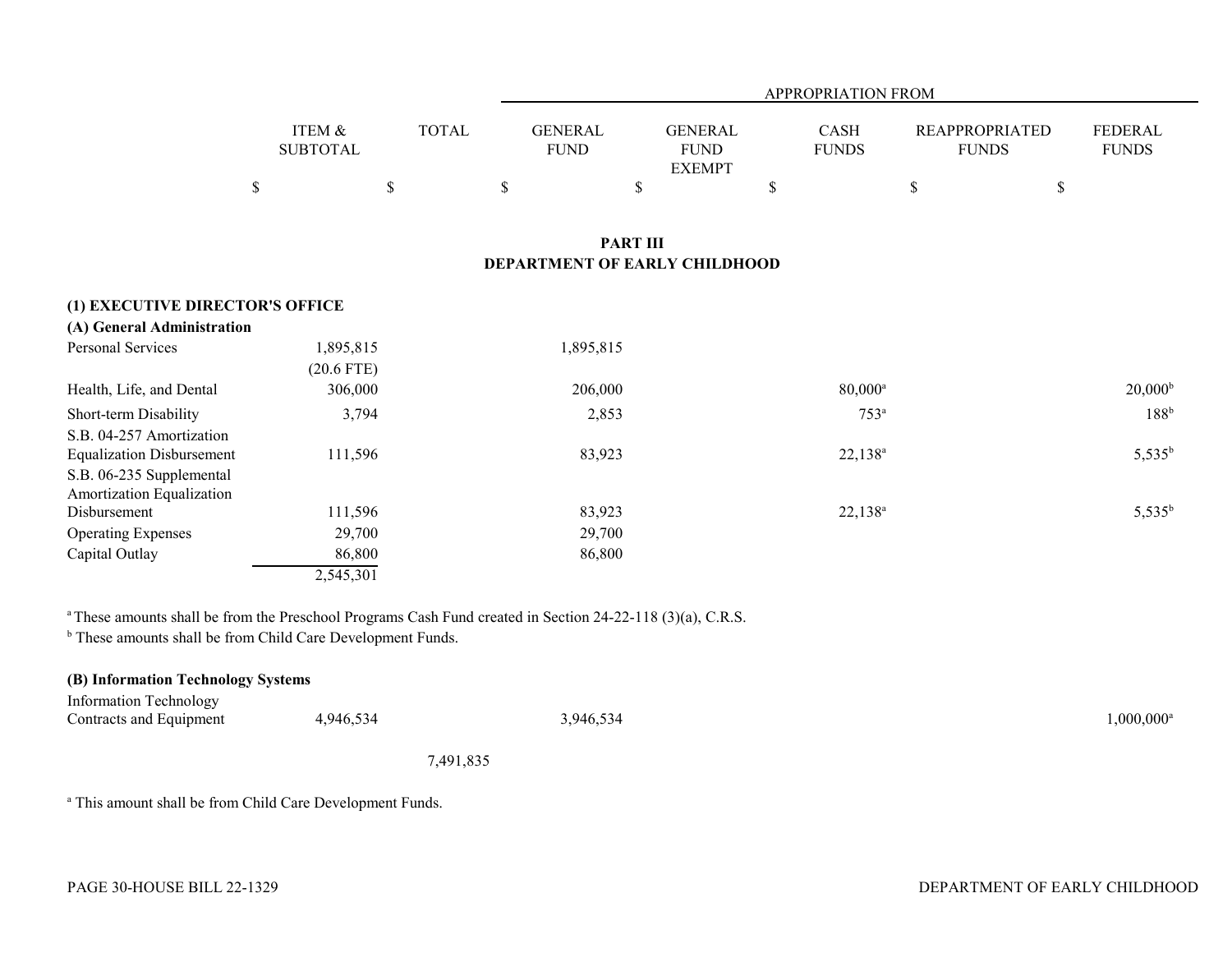|                                                                                                                       |                                      |              |                               | APPROPRIATION FROM                             |                      |                                       |                         |  |  |
|-----------------------------------------------------------------------------------------------------------------------|--------------------------------------|--------------|-------------------------------|------------------------------------------------|----------------------|---------------------------------------|-------------------------|--|--|
|                                                                                                                       | <b>ITEM &amp;</b><br><b>SUBTOTAL</b> | <b>TOTAL</b> | <b>GENERAL</b><br><b>FUND</b> | <b>GENERAL</b><br><b>FUND</b><br><b>EXEMPT</b> | CASH<br><b>FUNDS</b> | <b>REAPPROPRIATED</b><br><b>FUNDS</b> | FEDERAL<br><b>FUNDS</b> |  |  |
|                                                                                                                       | $\$$                                 | $\$$         | \$                            | \$                                             | \$                   | $\$$<br>\$                            |                         |  |  |
| <b>PART III</b><br>DEPARTMENT OF EARLY CHILDHOOD                                                                      |                                      |              |                               |                                                |                      |                                       |                         |  |  |
| (1) EXECUTIVE DIRECTOR'S OFFICE                                                                                       |                                      |              |                               |                                                |                      |                                       |                         |  |  |
| (A) General Administration                                                                                            |                                      |              |                               |                                                |                      |                                       |                         |  |  |
| Personal Services                                                                                                     | 1,895,815<br>$(20.6$ FTE)            |              | 1,895,815                     |                                                |                      |                                       |                         |  |  |
| Health, Life, and Dental                                                                                              | 306,000                              |              | 206,000                       |                                                | $80,000^{\circ}$     |                                       | $20,000^{\rm b}$        |  |  |
| Short-term Disability                                                                                                 | 3,794                                |              | 2,853                         |                                                | $753^a$              |                                       | 188 <sup>b</sup>        |  |  |
| S.B. 04-257 Amortization<br><b>Equalization Disbursement</b><br>S.B. 06-235 Supplemental<br>Amortization Equalization | 111,596                              |              | 83,923                        |                                                | $22,138^a$           |                                       | $5,535^b$               |  |  |
| Disbursement                                                                                                          | 111,596                              |              | 83,923                        |                                                | $22,138^a$           |                                       | $5,535^b$               |  |  |
| <b>Operating Expenses</b>                                                                                             | 29,700                               |              | 29,700                        |                                                |                      |                                       |                         |  |  |
| Capital Outlay                                                                                                        | 86,800                               |              | 86,800                        |                                                |                      |                                       |                         |  |  |
|                                                                                                                       | 2,545,301                            |              |                               |                                                |                      |                                       |                         |  |  |

<sup>a</sup> These amounts shall be from the Preschool Programs Cash Fund created in Section 24-22-118 (3)(a), C.R.S.

**b** These amounts shall be from Child Care Development Funds.

| (B) Information Technology Systems |           |           |                     |  |  |  |
|------------------------------------|-----------|-----------|---------------------|--|--|--|
| Information Technology             |           |           |                     |  |  |  |
| Contracts and Equipment            | 4,946,534 | 3,946,534 | $1,000,000^{\rm a}$ |  |  |  |

7,491,835

<sup>a</sup> This amount shall be from Child Care Development Funds.